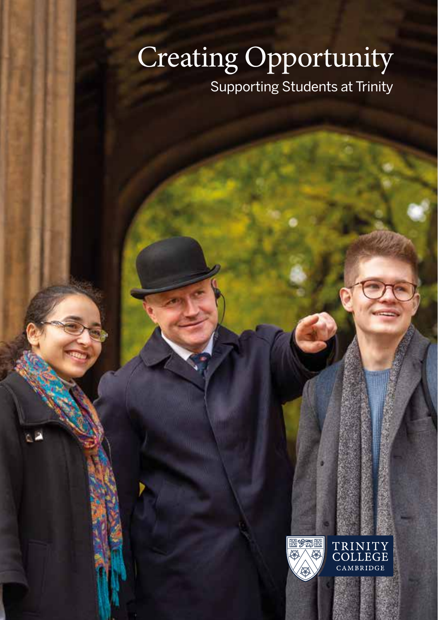# Creating Opportunity Supporting Students at Trinity

1950 Ø,

TRINITY<br>COLLEGE MBRIDGE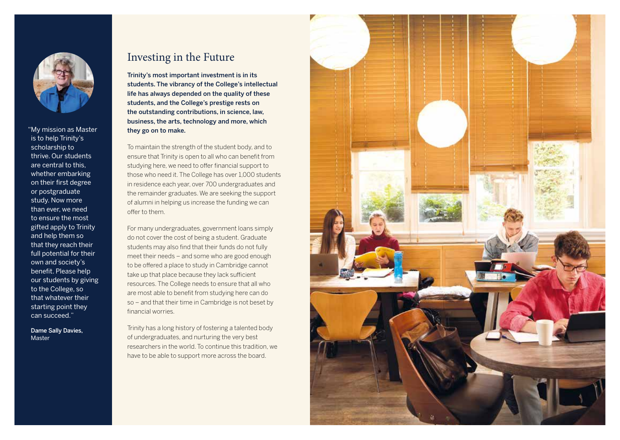

"My mission as Master is to help Trinity's scholarship to thrive. Our students are central to this, whether embarking on their first degree or postgraduate study. Now more than ever, we need to ensure the most gifted apply to Trinity and help them so that they reach their full potential for their own and society's benefit. Please help our students by giving to the College, so that whatever their starting point they can succeed."

 Dame Sally Davies, Master

### Investing in the Future

Trinity's most important investment is in its students. The vibrancy of the College's intellectual life has always depended on the quality of these students, and the College's prestige rests on the outstanding contributions, in science, law, business, the arts, technology and more, which they go on to make.

To maintain the strength of the student body, and to ensure that Trinity is open to all who can benefit from studying here, we need to offer financial support to those who need it. The College has over 1,000 students in residence each year, over 700 undergraduates and the remainder graduates. We are seeking the support of alumni in helping us increase the funding we can offer to them.

For many undergraduates, government loans simply do not cover the cost of being a student. Graduate students may also find that their funds do not fully meet their needs – and some who are good enough to be offered a place to study in Cambridge cannot take up that place because they lack sufficient resources. The College needs to ensure that all who are most able to benefit from studying here can do so – and that their time in Cambridge is not beset by financial worries.

Trinity has a long history of fostering a talented body of undergraduates, and nurturing the very best researchers in the world. To continue this tradition, we have to be able to support more across the board.

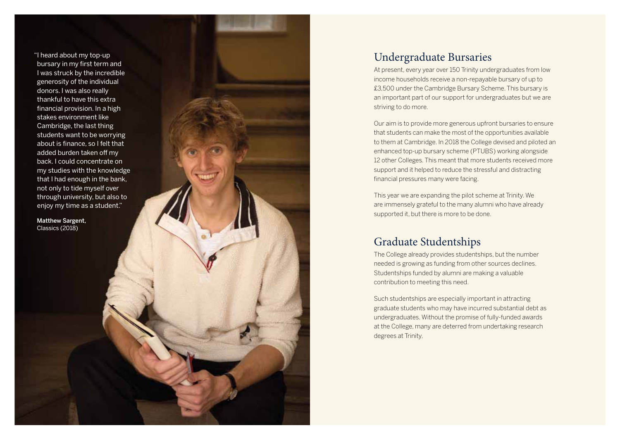"I heard about my top-up bursary in my first term and I was struck by the incredible generosity of the individual donors. I was also really thankful to have this extra financial provision. In a high stakes environment like Cambridge, the last thing students want to be worrying about is finance, so I felt that added burden taken off my back. I could concentrate on my studies with the knowledge that I had enough in the bank, not only to tide myself over through university, but also to enjoy my time as a student."

 Matthew Sargent, Classics (2018)

### Undergraduate Bursaries

At present, every year over 150 Trinity undergraduates from low income households receive a non-repayable bursary of up to £3,500 under the Cambridge Bursary Scheme. This bursary is an important part of our support for undergraduates but we are striving to do more.

Our aim is to provide more generous upfront bursaries to ensure that students can make the most of the opportunities available to them at Cambridge. In 2018 the College devised and piloted an enhanced top-up bursary scheme (PTUBS) working alongside 12 other Colleges. This meant that more students received more support and it helped to reduce the stressful and distracting financial pressures many were facing.

This year we are expanding the pilot scheme at Trinity. We are immensely grateful to the many alumni who have already supported it, but there is more to be done.

#### Graduate Studentships

The College already provides studentships, but the number needed is growing as funding from other sources declines. Studentships funded by alumni are making a valuable contribution to meeting this need.

Such studentships are especially important in attracting graduate students who may have incurred substantial debt as undergraduates. Without the promise of fully-funded awards at the College, many are deterred from undertaking research degrees at Trinity.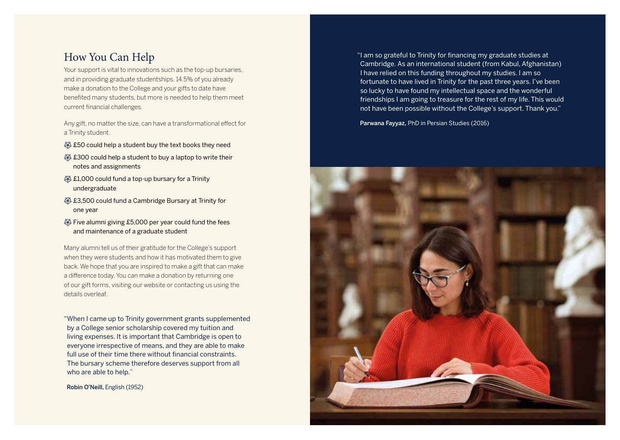## How You Can Help

Your support is vital to innovations such as the top-up bursaries, and in providing graduate studentships. 14.5% of you already make a donation to the College and your gifts to date have benefited many students, but more is needed to help them meet current financial challenges.

Any gift, no matter the size, can have a transformational effect for a Trinity student.

- **\$50 could help a student buy the text books they need**
- £300 could help a student to buy a laptop to write their notes and assignments
- $$1,000$  could fund a top-up bursary for a Trinity undergraduate
- £3,500 could fund a Cambridge Bursary at Trinity for one year
- Five alumni giving £5,000 per year could fund the fees and maintenance of a graduate student

Many alumni tell us of their gratitude for the College's support when they were students and how it has motivated them to give back. We hope that you are inspired to make a gift that can make a difference today. You can make a donation by returning one of our gift forms, visiting our website or contacting us using the details overleaf.

"When I came up to Trinity government grants supplemented by a College senior scholarship covered my tuition and living expenses. It is important that Cambridge is open to everyone irrespective of means, and they are able to make full use of their time there without financial constraints. The bursary scheme therefore deserves support from all who are able to help."

Robin O'Neill, English (1952)

"I am so grateful to Trinity for financing my graduate studies at Cambridge. As an international student (from Kabul, Afghanistan) I have relied on this funding throughout my studies. I am so fortunate to have lived in Trinity for the past three years. I've been so lucky to have found my intellectual space and the wonderful friendships I am going to treasure for the rest of my life. This would not have been possible without the College's support. Thank you."

Parwana Fayyaz, PhD in Persian Studies (2016)